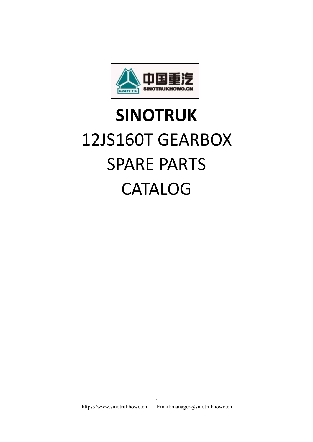

## **SINOTRUK** 12JS160T GEARBOX SPARE PARTS CATALOG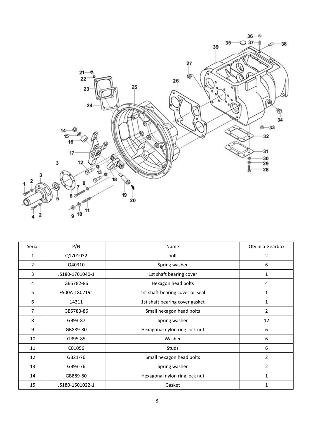

| Serial         | P/N             | Name                             | Qty in a Gearbox |
|----------------|-----------------|----------------------------------|------------------|
| $1\,$          | Q1701032        | bolt                             | $\overline{2}$   |
| $\overline{2}$ | Q40310          | Spring washer                    | 6                |
| 3              | JS180-1701040-1 | 1st shaft bearing cover          | $\mathbf{1}$     |
| $\overline{4}$ | GB5782-86       | Hexagon head bolts               | $\overline{4}$   |
| 5              | F500A-1802191   | 1st shaft bearing cover oil seal | $\mathbf{1}$     |
| 6              | 14311           | 1st shaft bearing cover gasket   | $\mathbf{1}$     |
| $\overline{7}$ | GB5783-86       | Small hexagon head bolts         | $\overline{2}$   |
| 8              | GB93-87         | Spring washer                    | 12               |
| 9              | GB889-80        | Hexagonal nylon ring lock nut    | 6                |
| 10             | GB95-85         | Washer                           | 6                |
| 11             | C01056          | Studs                            | 6                |
| 12             | GB21-76         | Small hexagon head bolts         | $\overline{2}$   |
| 13             | GB93-76         | Spring washer                    | $\overline{2}$   |
| 14             | GB889-80        | Hexagonal nylon ring lock nut    | $\mathbf{1}$     |
| 15             | JS180-1601022-1 | Gasket                           | $\mathbf 1$      |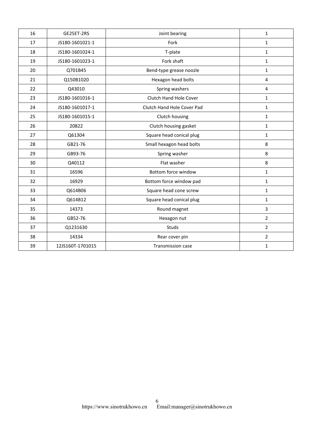| 16 | GE25ET-2RS       | Joint bearing              | $\mathbf{1}$   |  |
|----|------------------|----------------------------|----------------|--|
| 17 | JS180-1601021-1  | Fork                       | $\mathbf{1}$   |  |
| 18 | JS180-1601024-1  | T-plate                    | $\mathbf{1}$   |  |
| 19 | JS180-1601023-1  | Fork shaft                 | $\mathbf{1}$   |  |
| 20 | Q701B45          | Bend-type grease noozle    | $\mathbf{1}$   |  |
| 21 | Q150B1020        | Hexagon head bolts         | $\overline{4}$ |  |
| 22 | Q43010           | Spring washers             | $\overline{4}$ |  |
| 23 | JS180-1601016-1  | Clutch Hand Hole Cover     | $\mathbf{1}$   |  |
| 24 | JS180-1601017-1  | Clutch Hand Hole Cover Pad | $\mathbf{1}$   |  |
| 25 | JS180-1601015-1  | Clutch housing             | $\mathbf{1}$   |  |
| 26 | 20822            | Clutch housing gasket      | $\mathbf{1}$   |  |
| 27 | Q61304           | Square head conical plug   | $\mathbf{1}$   |  |
| 28 | GB21-76          | Small hexagon head bolts   | 8              |  |
| 29 | GB93-76          | Spring washer              | $\,8\,$        |  |
| 30 | Q40112           | Flat washer                | $\,8\,$        |  |
| 31 | 16596            | Bottom force window        | $\mathbf{1}$   |  |
| 32 | 16929            | Bottom force window pad    | $\mathbf 1$    |  |
| 33 | Q614B06          | Square head cone screw     | $\mathbf{1}$   |  |
| 34 | Q614B12          | Square head conical plug   | $\mathbf{1}$   |  |
| 35 | 14373            | Round magnet               | $\overline{3}$ |  |
| 36 | GB52-76          | Hexagon nut                | $\overline{2}$ |  |
| 37 | Q1231630         | Studs                      | $\overline{2}$ |  |
| 38 | 14334            | Rear cover pin             | $\overline{2}$ |  |
| 39 | 12JS160T-1701015 | <b>Transmission case</b>   | $\mathbf{1}$   |  |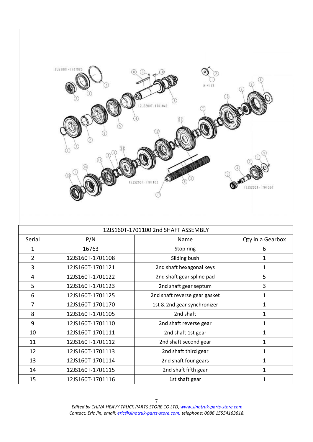

|        |                  | 12JS160T-1701100 2nd SHAFT ASSEMBLY |                  |
|--------|------------------|-------------------------------------|------------------|
| Serial | P/N              | Name                                | Qty in a Gearbox |
| 1      | 16763            | Stop ring                           | 6                |
| 2      | 12JS160T-1701108 | Sliding bush                        | 1                |
| 3      | 12JS160T-1701121 | 2nd shaft hexagonal keys            | 1                |
| 4      | 12JS160T-1701122 | 2nd shaft gear spline pad           | 5                |
| 5      | 12JS160T-1701123 | 2nd shaft gear septum               | 3                |
| 6      | 12JS160T-1701125 | 2nd shaft reverse gear gasket       | $\mathbf{1}$     |
| 7      | 12JS160T-1701170 | 1st & 2nd gear synchronizer         | $\mathbf{1}$     |
| 8      | 12JS160T-1701105 | 2nd shaft                           | 1                |
| 9      | 12JS160T-1701110 | 2nd shaft reverse gear              | 1                |
| 10     | 12JS160T-1701111 | 2nd shaft 1st gear                  | 1                |
| 11     | 12JS160T-1701112 | 2nd shaft second gear               | 1                |
| 12     | 12JS160T-1701113 | 2nd shaft third gear                | 1                |
| 13     | 12JS160T-1701114 | 2nd shaft four gears                | 1                |
| 14     | 12JS160T-1701115 | 2nd shaft fifth gear                | $\mathbf{1}$     |
| 15     | 12JS160T-1701116 | 1st shaft gear                      |                  |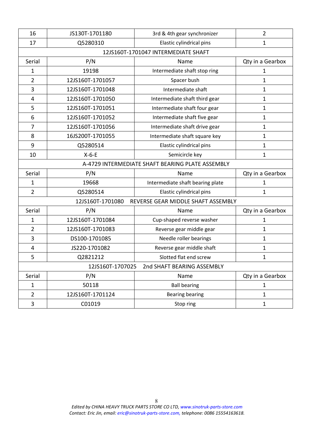| 16                      | JS130T-1701180   | 3rd & 4th gear synchronizer                      | $\overline{2}$   |
|-------------------------|------------------|--------------------------------------------------|------------------|
| 17                      | Q5280310         | Elastic cylindrical pins                         | 1                |
|                         |                  | 12JS160T-1701047 INTERMEDIATE SHAFT              |                  |
| Serial                  | P/N              | Name                                             | Qty in a Gearbox |
| 1                       | 19198            | Intermediate shaft stop ring                     | 1                |
| $\overline{2}$          | 12JS160T-1701057 | Spacer bush                                      | $\mathbf{1}$     |
| 3                       | 12JS160T-1701048 | Intermediate shaft                               | $\mathbf{1}$     |
| 4                       | 12JS160T-1701050 | Intermediate shaft third gear                    | $\mathbf{1}$     |
| 5                       | 12JS160T-1701051 | Intermediate shaft four gear                     | $\mathbf{1}$     |
| $\boldsymbol{6}$        | 12JS160T-1701052 | Intermediate shaft five gear                     | $\mathbf{1}$     |
| 7                       | 12JS160T-1701056 | Intermediate shaft drive gear                    | $\mathbf{1}$     |
| 8                       | 16JS200T-1701055 | Intermediate shaft square key                    | $\mathbf{1}$     |
| 9                       | Q5280514         | Elastic cylindrical pins                         | $\mathbf{1}$     |
| 10                      | $X-6-E$          | Semicircle key                                   | $\mathbf{1}$     |
|                         |                  | A-4729 INTERMEDIATE SHAFT BEARING PLATE ASSEMBLY |                  |
| Serial                  | P/N              | Name                                             | Qty in a Gearbox |
| 1                       | 19668            | Intermediate shaft bearing plate                 | 1                |
| $\overline{2}$          | Q5280514         | Elastic cylindrical pins                         | $\mathbf{1}$     |
|                         | 12JS160T-1701080 | REVERSE GEAR MIDDLE SHAFT ASSEMBLY               |                  |
| Serial                  | P/N              | Name                                             | Qty in a Gearbox |
| $\mathbf{1}$            | 12JS160T-1701084 | Cup-shaped reverse washer                        | 1                |
| $\overline{2}$          | 12JS160T-1701083 | Reverse gear middle gear                         | $\mathbf{1}$     |
| 3                       | DS100-1701085    | Needle roller bearings                           | $\mathbf{1}$     |
| $\overline{\mathbf{4}}$ | JS220-1701082    | Reverse gear middle shaft                        | $\mathbf{1}$     |
| 5                       | Q2821212         | Slotted flat end screw                           | $\mathbf{1}$     |
|                         | 12JS160T-1707025 | 2nd SHAFT BEARING ASSEMBLY                       |                  |
| Serial                  | P/N              | Name                                             | Qty in a Gearbox |
| $\mathbf{1}$            | 50118            | <b>Ball bearing</b>                              | $\mathbf{1}$     |
| $\overline{2}$          | 12JS160T-1701124 | <b>Bearing bearing</b>                           | $\mathbf{1}$     |
| 3                       | C01019           | Stop ring                                        | $\mathbf{1}$     |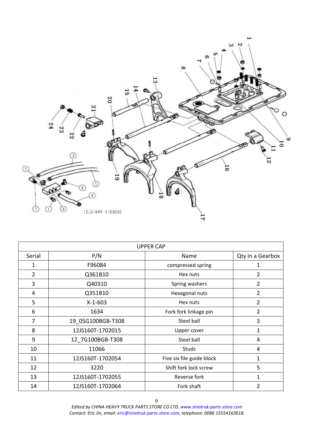

| <b>UPPER CAP</b> |                   |                           |                  |  |
|------------------|-------------------|---------------------------|------------------|--|
| Serial           | P/N               | Name                      | Qty in a Gearbox |  |
| 1                | F96084            | compressed spring         | 1                |  |
| 2                | Q361B10           | Hex nuts                  | $\overline{2}$   |  |
| 3                | Q40310            | Spring washers            | 2                |  |
| 4                | Q351B10           | Hexagonal nuts            | 2                |  |
| 5                | $X-1-603$         | Hex nuts                  | $\overline{2}$   |  |
| 6                | 1634              | Fork fork linkage pin     | 2                |  |
| 7                | 19 05G100BGB-T308 | Steel ball                | 3                |  |
| 8                | 12JS160T-1702015  | Upper cover               | $\mathbf{1}$     |  |
| 9                | 12 7G100BGB-T308  | Steel ball                | 4                |  |
| 10               | 11066             | <b>Studs</b>              | 4                |  |
| 11               | 12JS160T-1702054  | Five six file guide block | $\mathbf{1}$     |  |
| 12               | 3220              | Shift fork lock screw     | 5                |  |
| 13               | 12JS160T-1702055  | Reverse fork              | 1                |  |
| 14               | 12JS160T-1702064  | Fork shaft                | 2                |  |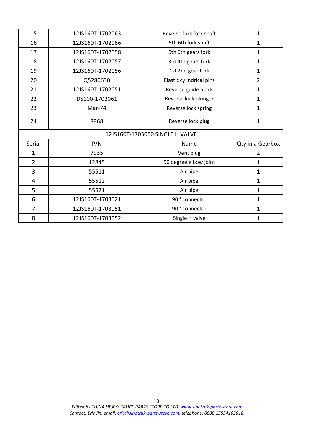| 15             | 12JS160T-1702063 | Reverse fork fork shaft<br>$\mathbf{1}$ |                  |
|----------------|------------------|-----------------------------------------|------------------|
| 16             | 12JS160T-1702066 | 5th 6th fork shaft                      | 1                |
| 17             | 12JS160T-1702058 | 5th 6th gears fork                      | 1                |
| 18             | 12JS160T-1702057 | 3rd 4th gears fork                      | 1                |
| 19             | 12JS160T-1702056 | 1st 2nd gear fork                       | 1                |
| 20             | Q5280630         | Elastic cylindrical pins                | 2                |
| 21             | 12JS160T-1702051 | Reverse guide block                     | 1                |
| 22             | DS100-1702061    | Reverse lock plunger                    | $\mathbf{1}$     |
| 23             | Mar-74           | Reverse lock spring                     | $\mathbf{1}$     |
| 24             | 8968             | Reverse lock plug                       | $\mathbf{1}$     |
|                |                  | 12JS160T-1703050 SINGLE H VALVE         |                  |
| Serial         | P/N              | Name                                    | Qty in a Gearbox |
| $\mathbf{1}$   | 7935             | Vent plug                               | 2                |
| $\overline{2}$ | 12845            | 90 degree elbow joint                   | $\mathbf{1}$     |
| 3              | 55511            | Air pipe                                | 1                |
| $\overline{4}$ | 55512            | 1<br>Air pipe                           |                  |
|                |                  |                                         |                  |
| 5              | 55521            | Air pipe                                | 1                |
| 6              | 12JS160T-1703021 | 90° connector                           | 1                |
| 7              | 12JS160T-1703051 | 90° connector                           | $\mathbf{1}$     |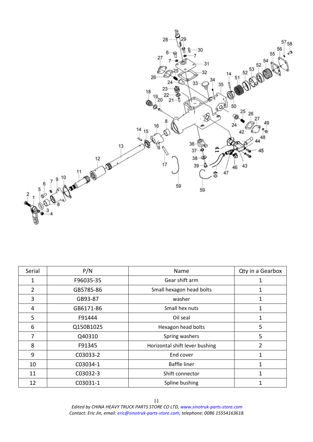

| Serial         | P/N       | Name                           | Qty in a Gearbox |
|----------------|-----------|--------------------------------|------------------|
| 1              | F96035-35 | Gear shift arm                 |                  |
| $\overline{2}$ | GB5785-86 | Small hexagon head bolts       |                  |
| 3              | GB93-87   | washer                         | 1                |
| 4              | GB6171-86 | Small hex nuts                 | 1                |
| 5              | F91444    | Oil seal                       |                  |
| 6              | Q150B1025 | Hexagon head bolts             | 5                |
| 7              | Q40310    | Spring washers                 | 5                |
| 8              | F91345    | Horizontal shift lever bushing | $\overline{2}$   |
| 9              | C03033-2  | End cover                      |                  |
| 10             | C03034-1  | <b>Baffle liner</b>            |                  |
| 11             | C03032-3  | Shift connector                |                  |
| 12             | C03031-1  | Spline bushing                 | 1                |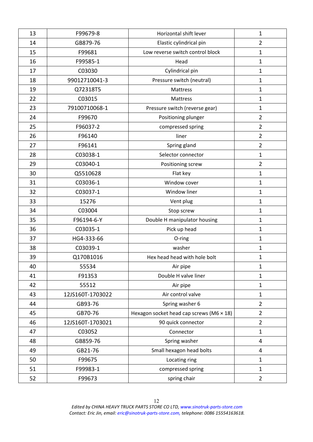| 13 | F99679-8         | Horizontal shift lever                          | $\mathbf{1}$   |
|----|------------------|-------------------------------------------------|----------------|
| 14 | GB879-76         | Elastic cylindrical pin                         | $\overline{2}$ |
| 15 | F99681           | Low reverse switch control block                | $\mathbf{1}$   |
| 16 | F99585-1         | Head                                            | $\mathbf{1}$   |
| 17 | C03030           | Cylindrical pin                                 | $\mathbf{1}$   |
| 18 | 99012710041-3    | Pressure switch (neutral)                       | 1              |
| 19 | Q72318T5         | Mattress                                        | 1              |
| 22 | C03015           | Mattress                                        | $\mathbf{1}$   |
| 23 | 79100710068-1    | Pressure switch (reverse gear)                  | $\mathbf{1}$   |
| 24 | F99670           | Positioning plunger                             | $\overline{2}$ |
| 25 | F96037-2         | compressed spring                               | $\overline{2}$ |
| 26 | F96140           | liner                                           | $\overline{2}$ |
| 27 | F96141           | Spring gland                                    | $\overline{2}$ |
| 28 | C03038-1         | Selector connector                              | $\mathbf{1}$   |
| 29 | C03040-1         | Positioning screw                               | $\overline{2}$ |
| 30 | Q5510628         | Flat key                                        | $\mathbf{1}$   |
| 31 | C03036-1         | Window cover                                    | $\mathbf{1}$   |
| 32 | C03037-1         | Window liner                                    | $\mathbf{1}$   |
| 33 | 15276            | Vent plug                                       | $\mathbf{1}$   |
| 34 | C03004           | Stop screw                                      | $\mathbf{1}$   |
| 35 | F96194-6-Y       | Double H manipulator housing                    | 1              |
| 36 | C03035-1         | Pick up head                                    | $\mathbf{1}$   |
| 37 | HG4-333-66       | O-ring                                          | $\mathbf{1}$   |
| 38 | C03039-1         | washer                                          | $\mathbf{1}$   |
| 39 | Q170B1016        | Hex head head with hole bolt                    | $\mathbf{1}$   |
| 40 | 55534            | Air pipe                                        | $\mathbf{1}$   |
| 41 | F91353           | Double H valve liner                            | 1              |
| 42 | 55512            | Air pipe                                        | $\mathbf{1}$   |
| 43 | 12JS160T-1703022 | Air control valve                               | $\mathbf{1}$   |
| 44 | GB93-76          | Spring washer 6                                 | $\overline{2}$ |
| 45 | GB70-76          | Hexagon socket head cap screws (M6 $\times$ 18) | $\overline{2}$ |
| 46 | 12JS160T-1703021 | 90 quick connector                              | $\overline{2}$ |
| 47 | C03052           | Connector                                       | $\mathbf{1}$   |
| 48 | GB859-76         | Spring washer                                   | 4              |
| 49 | GB21-76          | Small hexagon head bolts                        | 4              |
| 50 | F99675           | Locating ring                                   | $\mathbf{1}$   |
| 51 | F99983-1         | compressed spring                               | $\mathbf{1}$   |
| 52 | F99673           | spring chair                                    | $\overline{2}$ |
|    |                  |                                                 |                |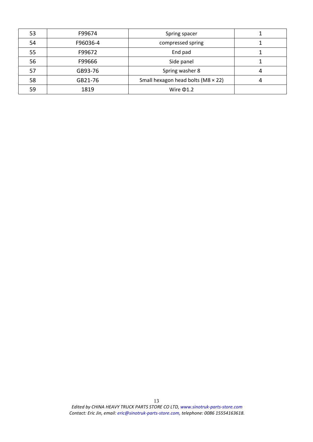| 53 | F99674   | Spring spacer                               |  |
|----|----------|---------------------------------------------|--|
| 54 | F96036-4 | compressed spring                           |  |
| 55 | F99672   | End pad                                     |  |
| 56 | F99666   | Side panel                                  |  |
| 57 | GB93-76  | Spring washer 8                             |  |
| 58 | GB21-76  | Small hexagon head bolts ( $M8 \times 22$ ) |  |
| 59 | 1819     | Wire $\Phi$ 1.2                             |  |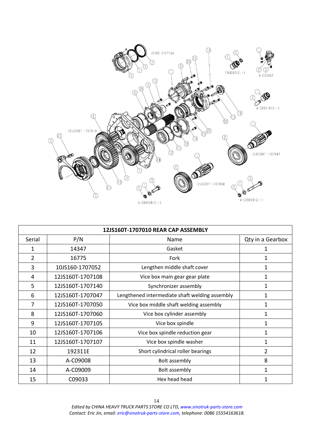

| 12JS160T-1707010 REAR CAP ASSEMBLY |                  |                                                |                  |
|------------------------------------|------------------|------------------------------------------------|------------------|
| Serial                             | P/N              | Name                                           | Qty in a Gearbox |
| 1                                  | 14347            | Gasket                                         |                  |
| 2                                  | 16775            | Fork                                           | 1                |
| 3                                  | 10JS160-1707052  | Lengthen middle shaft cover                    | 1                |
| 4                                  | 12JS160T-1707108 | Vice box main gear gear plate                  | 1                |
| 5                                  | 12JS160T-1707140 | Synchronizer assembly                          | $\mathbf{1}$     |
| 6                                  | 12JS160T-1707047 | Lengthened intermediate shaft welding assembly | $\mathbf{1}$     |
| 7                                  | 12JS160T-1707050 | Vice box middle shaft welding assembly         | 1                |
| 8                                  | 12JS160T-1707060 | Vice box cylinder assembly                     | $\mathbf{1}$     |
| 9                                  | 12JS160T-1707105 | Vice box spindle                               | 1                |
| 10                                 | 12JS160T-1707106 | Vice box spindle reduction gear                | 1                |
| 11                                 | 12JS160T-1707107 | Vice box spindle washer                        | $\mathbf{1}$     |
| 12                                 | 192311E          | Short cylindrical roller bearings              | $\overline{2}$   |
| 13                                 | A-C09008         | Bolt assembly                                  | 8                |
| 14                                 | A-C09009         | Bolt assembly                                  | 1                |
| 15                                 | C09033           | Hex head head                                  | $\mathbf{1}$     |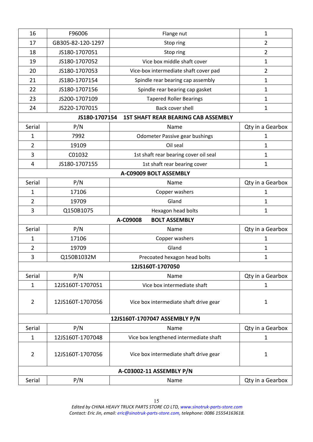| 16             | F96006            | Flange nut                                 | $\mathbf{1}$     |
|----------------|-------------------|--------------------------------------------|------------------|
| 17             | GB305-82-120-1297 | Stop ring                                  | $\overline{2}$   |
| 18             | JS180-1707051     | Stop ring                                  | $\overline{2}$   |
| 19             | JS180-1707052     | Vice box middle shaft cover                | 1                |
| 20             | JS180-1707053     | Vice-box intermediate shaft cover pad      | $\overline{2}$   |
| 21             | JS180-1707154     | Spindle rear bearing cap assembly          | 1                |
| 22             | JS180-1707156     | Spindle rear bearing cap gasket            | $\mathbf{1}$     |
| 23             | JS200-1707109     | <b>Tapered Roller Bearings</b>             | $\mathbf{1}$     |
| 24             | JS220-1707015     | Back cover shell                           | $\mathbf{1}$     |
|                | JS180-1707154     | <b>1ST SHAFT REAR BEARING CAB ASSEMBLY</b> |                  |
| Serial         | P/N               | Name                                       | Qty in a Gearbox |
| $\mathbf{1}$   | 7992              | <b>Odometer Passive gear bushings</b>      | $\mathbf 1$      |
| $\overline{2}$ | 19109             | Oil seal                                   | $\mathbf 1$      |
| 3              | C01032            | 1st shaft rear bearing cover oil seal      | $\mathbf{1}$     |
| 4              | JS180-1707155     | 1st shaft rear bearing cover               | $\mathbf{1}$     |
|                |                   | A-C09009 BOLT ASSEMBLY                     |                  |
| Serial         | P/N               | Name                                       | Qty in a Gearbox |
| $\mathbf{1}$   | 17106             | Copper washers                             | 1                |
| $\overline{2}$ | 19709             | Gland                                      | 1                |
| 3              | Q150B1075         | Hexagon head bolts                         | 1                |
|                |                   | <b>BOLT ASSEMBLY</b><br>A-C09008           |                  |
| Serial         | P/N               | Name                                       | Qty in a Gearbox |
| $\mathbf{1}$   | 17106             | Copper washers                             | 1                |
| $\overline{2}$ | 19709             | Gland                                      | $\mathbf{1}$     |
| 3              | Q150B1032M        | Precoated hexagon head bolts               | 1                |
|                |                   | 12JS160T-1707050                           |                  |
| Serial         | P/N               | Name                                       | Qty in a Gearbox |
| $\mathbf{1}$   | 12JS160T-1707051  | Vice box intermediate shaft                | $\mathbf{1}$     |
| $\overline{2}$ | 12JS160T-1707056  | Vice box intermediate shaft drive gear     | $\mathbf{1}$     |
|                |                   | 12JS160T-1707047 ASSEMBLY P/N              |                  |
| Serial         | P/N               | Name                                       | Qty in a Gearbox |
| $\mathbf{1}$   | 12JS160T-1707048  | Vice box lengthened intermediate shaft     | 1                |
| $\overline{2}$ | 12JS160T-1707056  | Vice box intermediate shaft drive gear     | $\mathbf{1}$     |
|                |                   | A-C03002-11 ASSEMBLY P/N                   |                  |
| Serial         | P/N               | Name                                       | Qty in a Gearbox |
|                |                   |                                            |                  |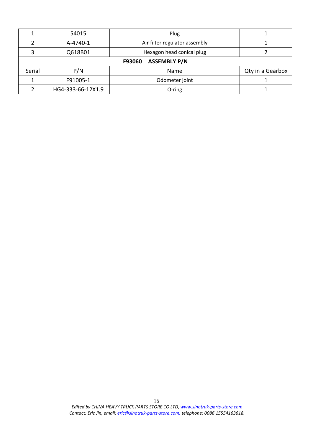|        | 54015             | Plug                          |                  |
|--------|-------------------|-------------------------------|------------------|
|        | A-4740-1          | Air filter regulator assembly |                  |
|        | Q618B01           | Hexagon head conical plug     |                  |
|        |                   | <b>ASSEMBLY P/N</b><br>F93060 |                  |
| Serial | P/N               | Name                          | Qty in a Gearbox |
|        | F91005-1          | Odometer joint                |                  |
|        | HG4-333-66-12X1.9 | O-ring                        |                  |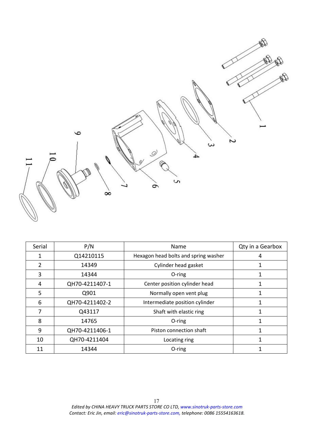$\circ$ 2 ىئ  $\mathcal{Q}$ Ç Ó  $\infty$ 

| Serial | P/N            | Name                                 | Qty in a Gearbox |
|--------|----------------|--------------------------------------|------------------|
|        | Q14210115      | Hexagon head bolts and spring washer |                  |
| C      | 14349          | Cylinder head gasket                 |                  |
| 3      | 14344          | O-ring                               |                  |
| 4      | QH70-4211407-1 | Center position cylinder head        |                  |
| 5      | Q901           | Normally open vent plug              |                  |
| 6      | QH70-4211402-2 | Intermediate position cylinder       |                  |
|        | Q43117         | Shaft with elastic ring              |                  |
| 8      | 14765          | O-ring                               |                  |
| 9      | QH70-4211406-1 | Piston connection shaft              |                  |
| 10     | QH70-4211404   | Locating ring                        |                  |
| 11     | 14344          | O-ring                               |                  |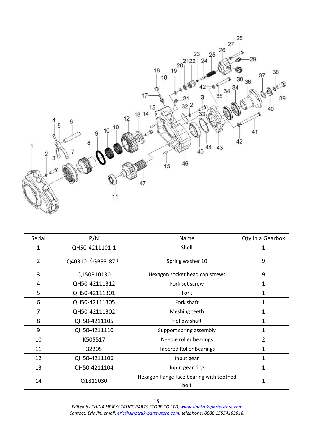

| Serial         | P/N              | Name                                             | Qty in a Gearbox |
|----------------|------------------|--------------------------------------------------|------------------|
| 1              | QH50-4211101-1   | Shell                                            | 1                |
| $\overline{2}$ | Q40310 (GB93-87) | Spring washer 10                                 | 9                |
| 3              | Q150B10130       | Hexagon socket head cap screws                   | 9                |
| 4              | QH50-42111312    | Fork set screw                                   | 1                |
| 5              | QH50-42111301    | Fork                                             | $\mathbf{1}$     |
| 6              | QH50-42111305    | Fork shaft                                       | 1                |
| 7              | QH50-42111302    | Meshing teeth                                    | 1                |
| 8              | QH50-4211105     | Hollow shaft                                     | 1                |
| 9              | QH50-4211110     | Support spring assembly                          | 1                |
| 10             | K505517          | Needle roller bearings                           | $\overline{2}$   |
| 11             | 32205            | <b>Tapered Roller Bearings</b>                   | 1                |
| 12             | QH50-4211106     | Input gear                                       | 1                |
| 13             | QH50-4211104     | Input gear ring                                  | 1                |
| 14             | Q1811030         | Hexagon flange face bearing with toothed<br>bolt | 1                |